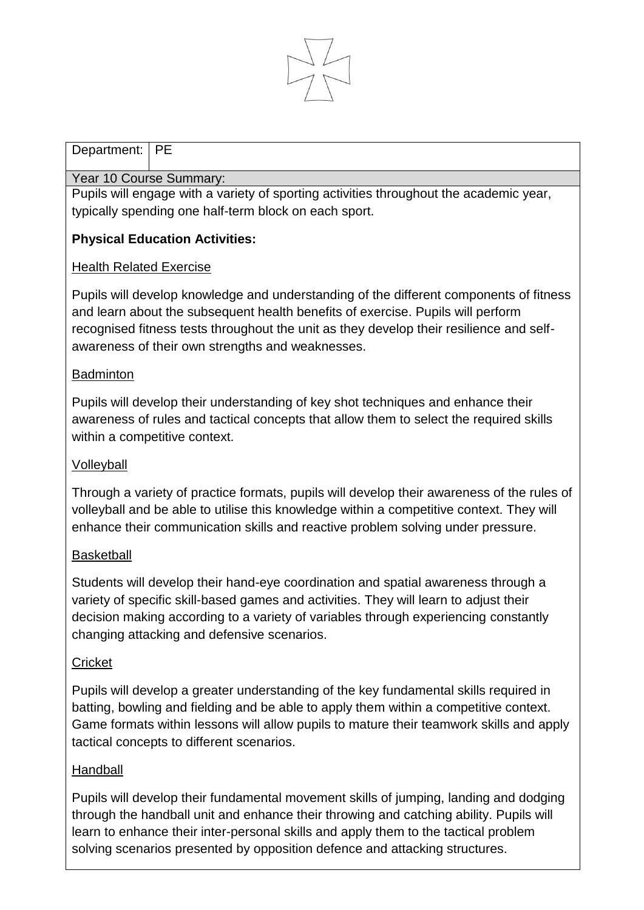

### Department: **PE**

#### Year 10 Course Summary:

Pupils will engage with a variety of sporting activities throughout the academic year, typically spending one half-term block on each sport.

# **Physical Education Activities:**

### Health Related Exercise

Pupils will develop knowledge and understanding of the different components of fitness and learn about the subsequent health benefits of exercise. Pupils will perform recognised fitness tests throughout the unit as they develop their resilience and selfawareness of their own strengths and weaknesses.

## **Badminton**

Pupils will develop their understanding of key shot techniques and enhance their awareness of rules and tactical concepts that allow them to select the required skills within a competitive context.

## Volleyball

Through a variety of practice formats, pupils will develop their awareness of the rules of volleyball and be able to utilise this knowledge within a competitive context. They will enhance their communication skills and reactive problem solving under pressure.

### **Basketball**

Students will develop their hand-eye coordination and spatial awareness through a variety of specific skill-based games and activities. They will learn to adjust their decision making according to a variety of variables through experiencing constantly changing attacking and defensive scenarios.

## **Cricket**

Pupils will develop a greater understanding of the key fundamental skills required in batting, bowling and fielding and be able to apply them within a competitive context. Game formats within lessons will allow pupils to mature their teamwork skills and apply tactical concepts to different scenarios.

### **Handball**

Pupils will develop their fundamental movement skills of jumping, landing and dodging through the handball unit and enhance their throwing and catching ability. Pupils will learn to enhance their inter-personal skills and apply them to the tactical problem solving scenarios presented by opposition defence and attacking structures.